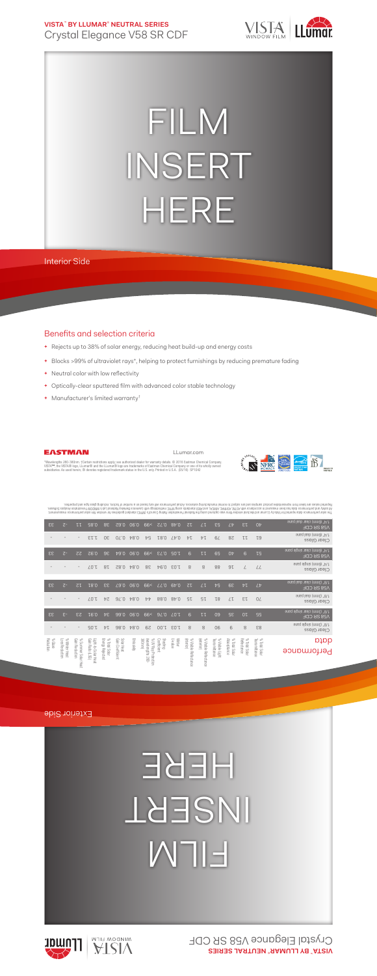**VISTA**™  **BY LLUMAR**®  **NEUTRAL SERIES** Crystal Elegance V58 SR CDF



## FILM INSERT HERE

Interior Side

## Benefits and selection criteria

- **+** Rejects up to 38% of solar energy, reducing heat build-up and energy costs
- **+** Blocks >99% of ultraviolet rays\*, helping to protect furnishings by reducing premature fading
- **+** Neutral color with low reflectivity
- **+** Optically-clear sputtered film with advanced color stable technology
- **+** Manufacturer's limited warranty†



EASTMAN

"Wavelengths 280-380nm. †Certain restrictions apply; see authorized dealer for warranty details. © 2016 Eastman Chemical Company.<br>VISTA™, the VISTA® logo, LLumar® and the LLumar® logo are trademarks of Eastman Chemical Com

LLumar.com